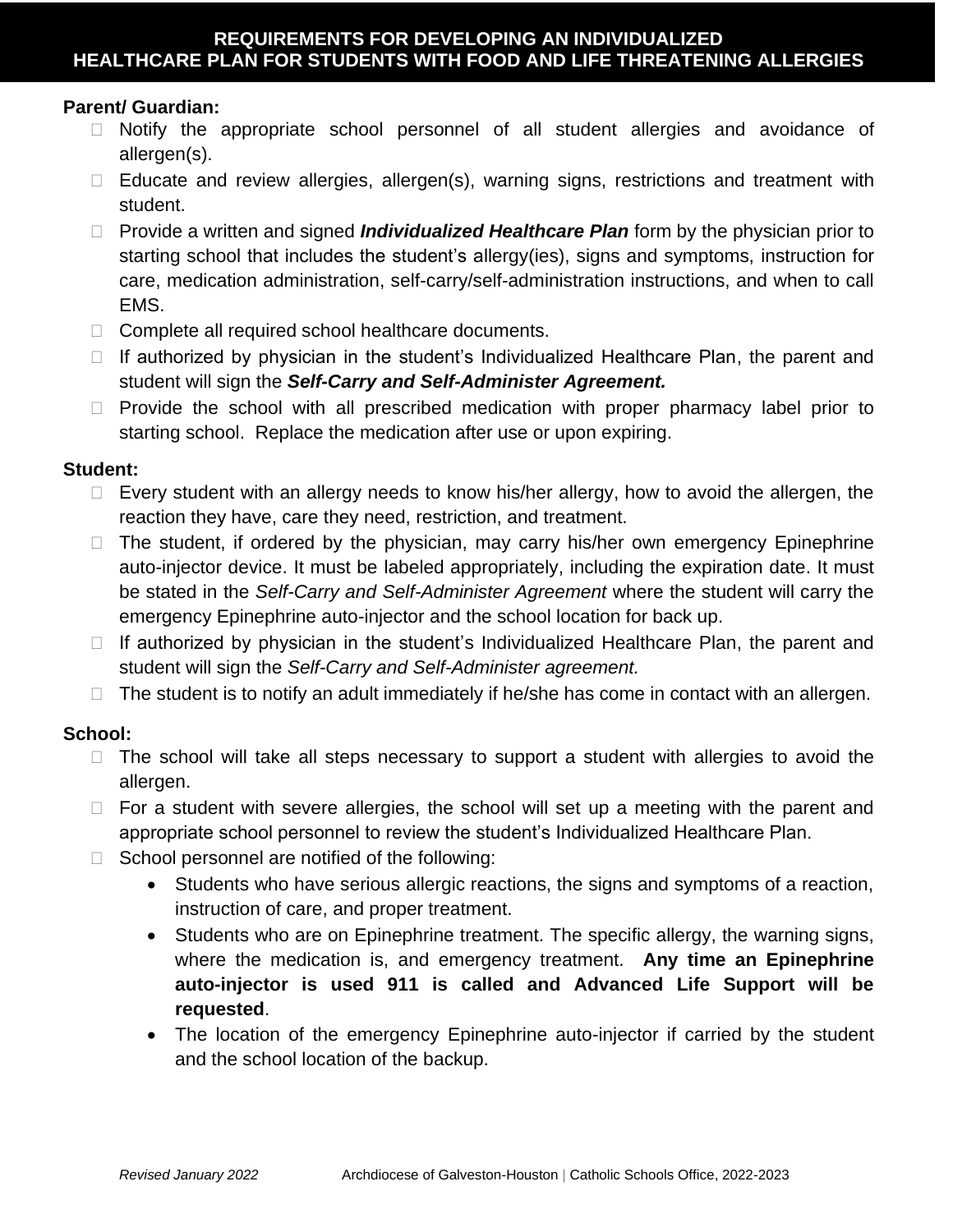# **Parent/ Guardian:**

- Notify the appropriate school personnel of all student allergies and avoidance of allergen(s).
- $\Box$  Educate and review allergies, allergen(s), warning signs, restrictions and treatment with student.
- □ Provide a written and signed *Individualized Healthcare Plan* form by the physician prior to starting school that includes the student's allergy(ies), signs and symptoms, instruction for care, medication administration, self-carry/self-administration instructions, and when to call EMS.
- □ Complete all required school healthcare documents.
- $\Box$  If authorized by physician in the student's Individualized Healthcare Plan, the parent and student will sign the *Self-Carry and Self-Administer Agreement.*
- $\Box$  Provide the school with all prescribed medication with proper pharmacy label prior to starting school. Replace the medication after use or upon expiring.

## **Student:**

- $\Box$  Every student with an allergy needs to know his/her allergy, how to avoid the allergen, the reaction they have, care they need, restriction, and treatment.
- $\Box$  The student, if ordered by the physician, may carry his/her own emergency Epinephrine auto-injector device. It must be labeled appropriately, including the expiration date. It must be stated in the *Self-Carry and Self-Administer Agreement* where the student will carry the emergency Epinephrine auto-injector and the school location for back up.
- $\Box$  If authorized by physician in the student's Individualized Healthcare Plan, the parent and student will sign the *Self-Carry and Self-Administer agreement.*
- $\Box$  The student is to notify an adult immediately if he/she has come in contact with an allergen.

# **School:**

- $\Box$  The school will take all steps necessary to support a student with allergies to avoid the allergen.
- $\Box$  For a student with severe allergies, the school will set up a meeting with the parent and appropriate school personnel to review the student's Individualized Healthcare Plan.
- $\Box$  School personnel are notified of the following:
	- Students who have serious allergic reactions, the signs and symptoms of a reaction, instruction of care, and proper treatment.
	- Students who are on Epinephrine treatment. The specific allergy, the warning signs, where the medication is, and emergency treatment. **Any time an Epinephrine auto-injector is used 911 is called and Advanced Life Support will be requested**.
	- The location of the emergency Epinephrine auto-injector if carried by the student and the school location of the backup.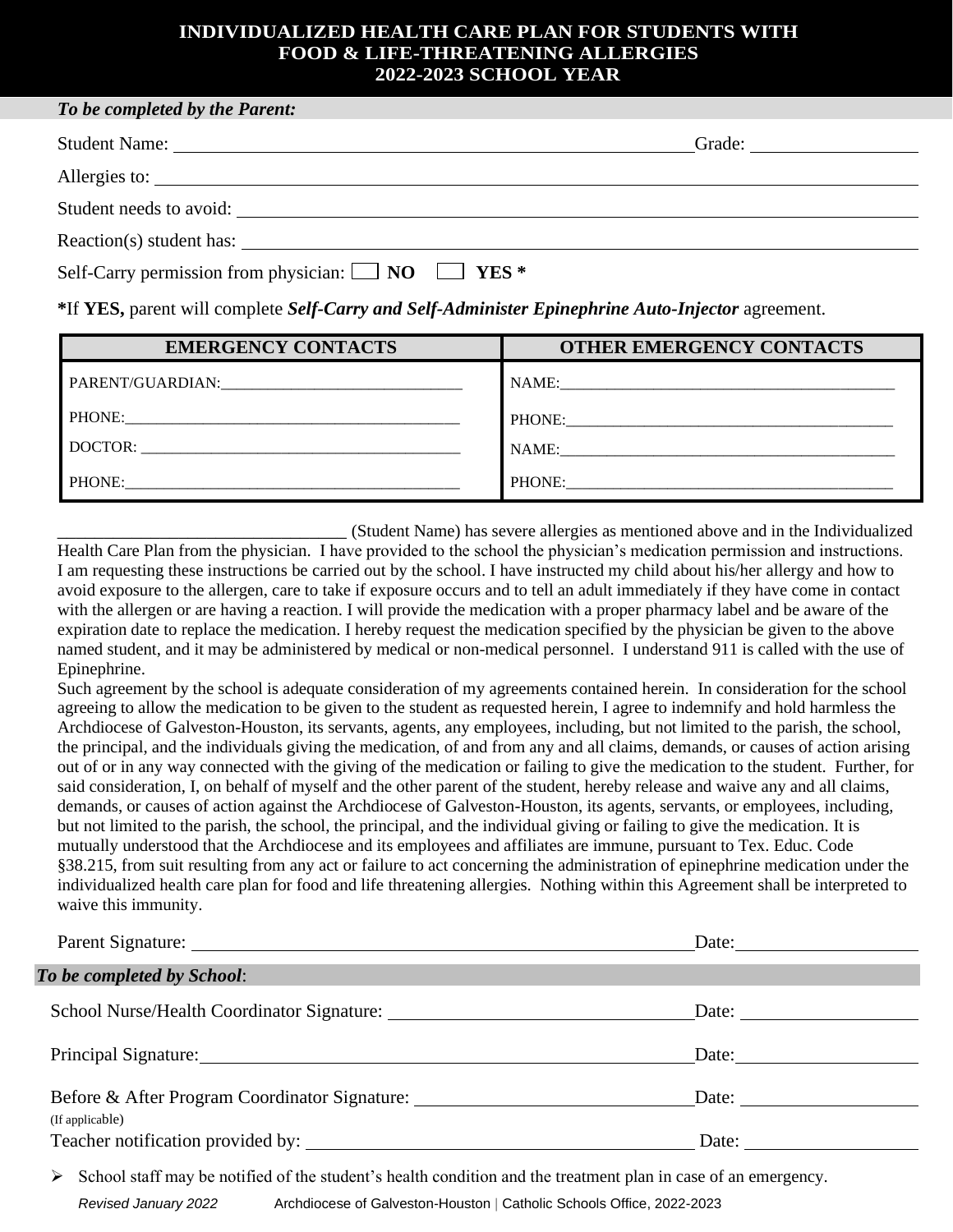## **INDIVIDUALIZED HEALTH CARE PLAN FOR STUDENTS WITH FOOD & LIFE-THREATENING ALLERGIES 2022-2023 SCHOOL YEAR**

| To be completed by the Parent:                                                                    |  |  |
|---------------------------------------------------------------------------------------------------|--|--|
|                                                                                                   |  |  |
| Allergies to:                                                                                     |  |  |
| Student needs to avoid:                                                                           |  |  |
| Reaction(s) student has:                                                                          |  |  |
| Self-Carry permission from physician: $\Box$ NO $\Box$ YES *                                      |  |  |
| *If YES, parent will complete Self-Carry and Self-Administer Epinephrine Auto-Injector agreement. |  |  |

**EMERGENCY CONTACTS OTHER EMERGENCY CONTACTS** PARENT/GUARDIAN: University of the set of the set of the set of the set of the set of the set of the set of the set of the set of the set of the set of the set of the set of the set of the set of the set of the set of the PHONE:\_\_\_\_\_\_\_\_\_\_\_\_\_\_\_\_\_\_\_\_\_\_\_\_\_\_\_\_\_\_\_\_\_\_\_\_\_\_\_\_\_\_\_ DOCTOR: \_\_\_\_\_\_\_\_\_\_\_\_\_\_\_\_\_\_\_\_\_\_\_\_\_\_\_\_\_\_\_\_\_\_\_\_\_\_\_\_\_ PHONE: NAME: PHONE: NAME: PHONE:\_\_\_\_\_\_\_\_\_\_\_\_\_\_\_\_\_\_\_\_\_\_\_\_\_\_\_\_\_\_\_\_\_\_\_\_\_\_\_\_\_\_

\_\_\_\_\_\_\_\_\_\_\_\_\_\_\_\_\_\_\_\_\_\_\_\_\_\_\_\_\_\_\_ (Student Name) has severe allergies as mentioned above and in the Individualized Health Care Plan from the physician. I have provided to the school the physician's medication permission and instructions. I am requesting these instructions be carried out by the school. I have instructed my child about his/her allergy and how to avoid exposure to the allergen, care to take if exposure occurs and to tell an adult immediately if they have come in contact with the allergen or are having a reaction. I will provide the medication with a proper pharmacy label and be aware of the expiration date to replace the medication. I hereby request the medication specified by the physician be given to the above named student, and it may be administered by medical or non-medical personnel. I understand 911 is called with the use of Epinephrine.

Such agreement by the school is adequate consideration of my agreements contained herein. In consideration for the school agreeing to allow the medication to be given to the student as requested herein, I agree to indemnify and hold harmless the Archdiocese of Galveston-Houston, its servants, agents, any employees, including, but not limited to the parish, the school, the principal, and the individuals giving the medication, of and from any and all claims, demands, or causes of action arising out of or in any way connected with the giving of the medication or failing to give the medication to the student. Further, for said consideration, I, on behalf of myself and the other parent of the student, hereby release and waive any and all claims, demands, or causes of action against the Archdiocese of Galveston-Houston, its agents, servants, or employees, including, but not limited to the parish, the school, the principal, and the individual giving or failing to give the medication. It is mutually understood that the Archdiocese and its employees and affiliates are immune, pursuant to Tex. Educ. Code §38.215, from suit resulting from any act or failure to act concerning the administration of epinephrine medication under the individualized health care plan for food and life threatening allergies. Nothing within this Agreement shall be interpreted to waive this immunity.

|                                               | Date: $\qquad \qquad$                                                                                                  |
|-----------------------------------------------|------------------------------------------------------------------------------------------------------------------------|
| To be completed by School:                    | <u> 1989 - Andrea Santa Galileo, ann an t-Ann an t-Ann an t-Ann an t-Ann an t-Ann an t-Ann an t-Ann an t-Ann an t-</u> |
|                                               | Date: $\frac{1}{\sqrt{1-\frac{1}{2}} \cdot \frac{1}{2}}$                                                               |
|                                               |                                                                                                                        |
| Before & After Program Coordinator Signature: |                                                                                                                        |
| (If applicable)                               | Date: $\qquad \qquad$                                                                                                  |

 $\triangleright$  School staff may be notified of the student's health condition and the treatment plan in case of an emergency.

*Revised January 2022* Archdiocese of Galveston-Houston | Catholic Schools Office, 2022-2023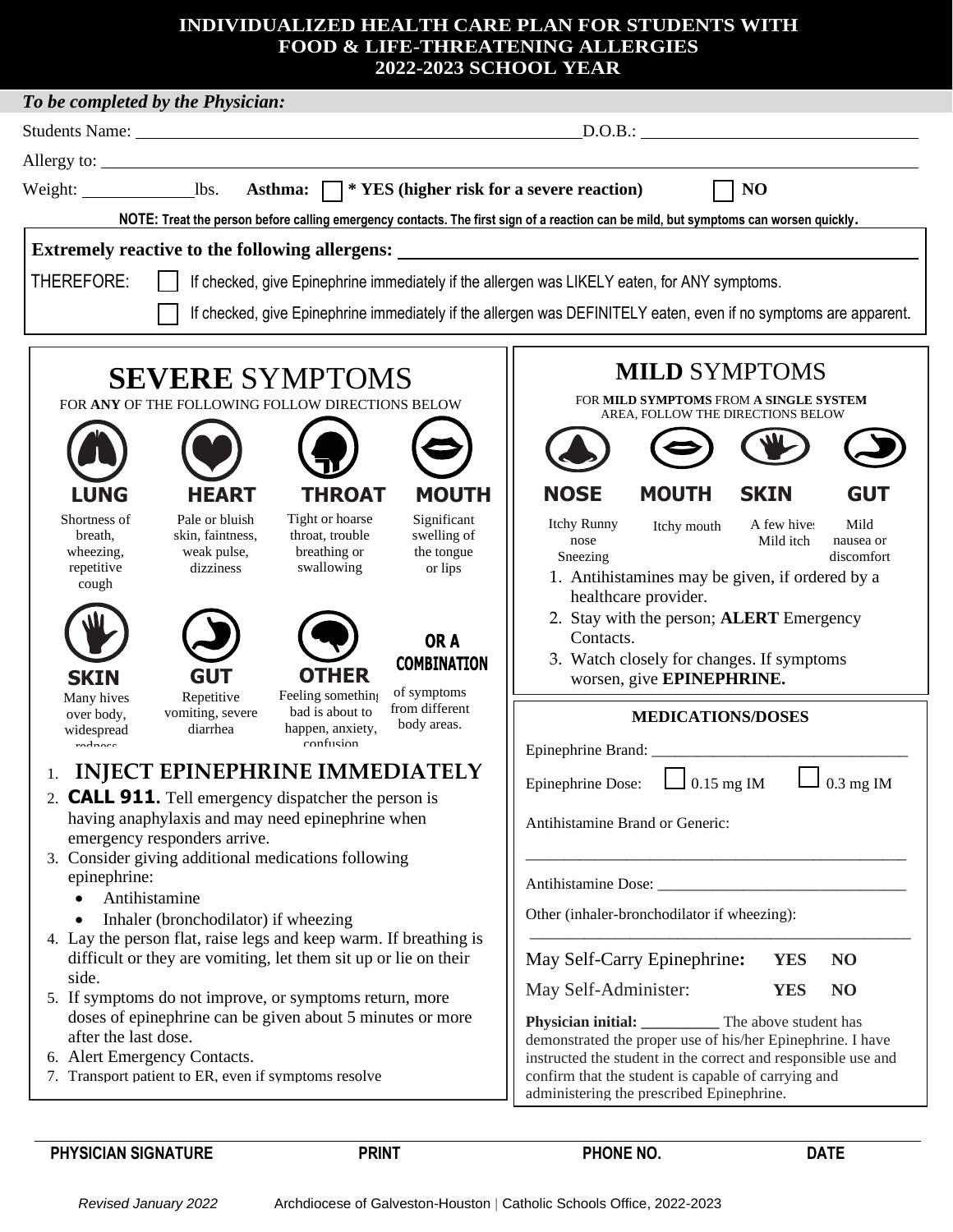## **INDIVIDUALIZED HEALTH CARE PLAN FOR STUDENTS WITH FOOD & LIFE-THREATENING ALLERGIES 2022-2023 SCHOOL YEAR**

| To be completed by the Physician:                                                                                                    |                                                                                                                     |  |  |
|--------------------------------------------------------------------------------------------------------------------------------------|---------------------------------------------------------------------------------------------------------------------|--|--|
|                                                                                                                                      | D.O.B.:                                                                                                             |  |  |
|                                                                                                                                      |                                                                                                                     |  |  |
| N <sub>O</sub>                                                                                                                       |                                                                                                                     |  |  |
| NOTE: Treat the person before calling emergency contacts. The first sign of a reaction can be mild, but symptoms can worsen quickly. |                                                                                                                     |  |  |
| Extremely reactive to the following allergens:                                                                                       |                                                                                                                     |  |  |
| THEREFORE:<br>If checked, give Epinephrine immediately if the allergen was LIKELY eaten, for ANY symptoms.                           |                                                                                                                     |  |  |
|                                                                                                                                      |                                                                                                                     |  |  |
| If checked, give Epinephrine immediately if the allergen was DEFINITELY eaten, even if no symptoms are apparent.                     |                                                                                                                     |  |  |
|                                                                                                                                      | <b>MILD SYMPTOMS</b>                                                                                                |  |  |
| <b>SEVERE SYMPTOMS</b>                                                                                                               | FOR MILD SYMPTOMS FROM A SINGLE SYSTEM                                                                              |  |  |
| FOR ANY OF THE FOLLOWING FOLLOW DIRECTIONS BELOW                                                                                     | AREA, FOLLOW THE DIRECTIONS BELOW                                                                                   |  |  |
|                                                                                                                                      |                                                                                                                     |  |  |
|                                                                                                                                      |                                                                                                                     |  |  |
| <b>MOUTH</b><br><b>LUNG</b><br><b>THROAT</b><br><b>HEART</b>                                                                         | <b>NOSE</b><br><b>MOUTH</b><br><b>SKIN</b><br><b>GUT</b>                                                            |  |  |
| Tight or hoarse<br>Shortness of<br>Pale or bluish<br>Significant<br>swelling of<br>skin, faintness,<br>throat, trouble<br>breath,    | Mild<br>Itchy Runny<br>A few hive:<br>Itchy mouth                                                                   |  |  |
| breathing or<br>weak pulse,<br>the tongue<br>wheezing,                                                                               | nose<br>Mild itch<br>nausea or<br>Sneezing<br>discomfort                                                            |  |  |
| repetitive<br>swallowing<br>dizziness<br>or lips<br>cough                                                                            | 1. Antihistamines may be given, if ordered by a                                                                     |  |  |
|                                                                                                                                      | healthcare provider.                                                                                                |  |  |
| OR A                                                                                                                                 | 2. Stay with the person; <b>ALERT</b> Emergency<br>Contacts.                                                        |  |  |
| <b>COMBINATION</b>                                                                                                                   | 3. Watch closely for changes. If symptoms                                                                           |  |  |
| <b>OTHER</b><br><b>GUT</b><br><b>SKIN</b><br>of symptoms                                                                             | worsen, give EPINEPHRINE.                                                                                           |  |  |
| Repetitive<br>Feeling something<br>Many hives<br>from different<br>bad is about to<br>vomiting, severe<br>over body,                 | <b>MEDICATIONS/DOSES</b>                                                                                            |  |  |
| body areas.<br>happen, anxiety,<br>diarrhea<br>widespread<br>confusion<br>radnass                                                    |                                                                                                                     |  |  |
| <b>INJECT EPINEPHRINE IMMEDIATELY</b>                                                                                                | $\blacksquare$                                                                                                      |  |  |
| 2. <b>CALL 911.</b> Tell emergency dispatcher the person is                                                                          | $0.3$ mg IM<br>Epinephrine Dose:<br>$0.15$ mg IM                                                                    |  |  |
| having anaphylaxis and may need epinephrine when                                                                                     | Antihistamine Brand or Generic:                                                                                     |  |  |
| emergency responders arrive.                                                                                                         |                                                                                                                     |  |  |
| 3. Consider giving additional medications following<br>epinephrine:                                                                  |                                                                                                                     |  |  |
| Antihistamine                                                                                                                        |                                                                                                                     |  |  |
| Inhaler (bronchodilator) if wheezing                                                                                                 | Other (inhaler-bronchodilator if wheezing):                                                                         |  |  |
| 4. Lay the person flat, raise legs and keep warm. If breathing is<br>difficult or they are vomiting, let them sit up or lie on their | May Self-Carry Epinephrine:<br>N <sub>O</sub><br><b>YES</b>                                                         |  |  |
| side.                                                                                                                                |                                                                                                                     |  |  |
| 5. If symptoms do not improve, or symptoms return, more                                                                              | May Self-Administer:<br><b>YES</b><br>N <sub>O</sub>                                                                |  |  |
| doses of epinephrine can be given about 5 minutes or more<br>after the last dose.                                                    | Physician initial: ____________ The above student has<br>demonstrated the proper use of his/her Epinephrine. I have |  |  |
| 6. Alert Emergency Contacts.                                                                                                         | instructed the student in the correct and responsible use and                                                       |  |  |
| 7. Transport patient to ER, even if symptoms resolve                                                                                 | confirm that the student is capable of carrying and                                                                 |  |  |
|                                                                                                                                      | administering the prescribed Epinephrine.                                                                           |  |  |

PHYSICIAN SIGNATURE **PRINT PHONE NO.** DATE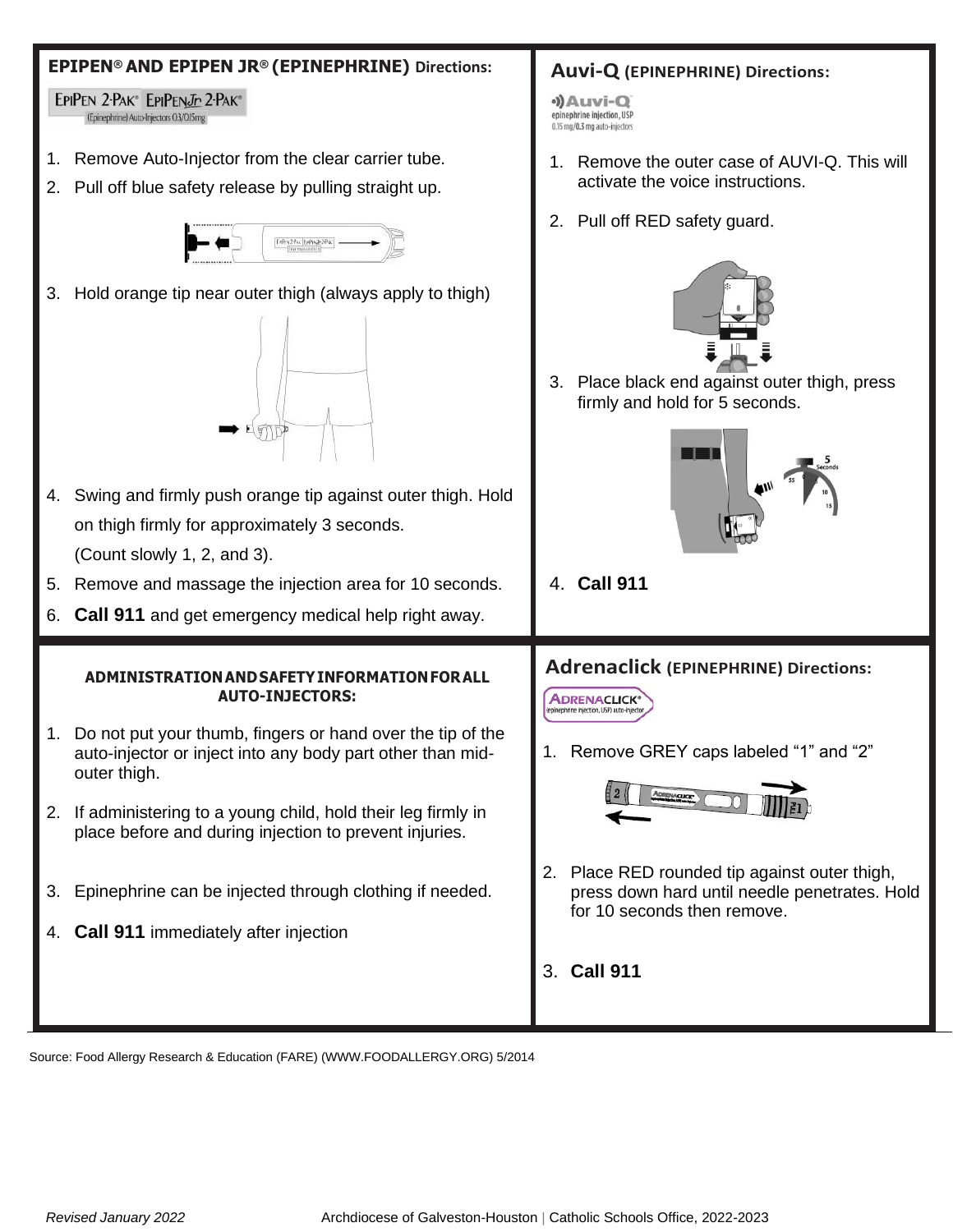# **EPIPEN® AND EPIPEN JR® (EPINEPHRINE) Directions: Auvi-Q (EPINEPHRINE) Directions:** EPIPEN 2-PAK® EPIPENJr 2-PAK® ·)Auvi-Q epinephrine injection, USP (Epinephrine) Auto-Injectors 0.3/0.15mg 0.15 mg/0.3 mg auto-injectors 1. Remove Auto-Injector from the clear carrier tube. 1. Remove the outer case of AUVI-Q. This will activate the voice instructions. 2. Pull off blue safety release by pulling straight up. 2. Pull off RED safety guard. DRY28W BRNE28W 3. Hold orange tip near outer thigh (always apply to thigh) 3. Place black end against outer thigh, press firmly and hold for 5 seconds.  $\blacksquare$ 4. Swing and firmly push orange tip against outer thigh. Hold on thigh firmly for approximately 3 seconds. (Count slowly 1, 2, and 3). 4. **Call 911** 5. Remove and massage the injection area for 10 seconds. 6. **Call 911** and get emergency medical help right away. **Adrenaclick (EPINEPHRINE) Directions: ADMINISTRATIONANDSAFETYINFORMATIONFORALL AUTO-INJECTORS: ADRENACLICK®** 1. Do not put your thumb, fingers or hand over the tip of the 1. Remove GREY caps labeled "1" and "2" auto-injector or inject into any body part other than midouter thigh. 2. If administering to a young child, hold their leg firmly in place before and during injection to prevent injuries. 2. Place RED rounded tip against outer thigh, 3. Epinephrine can be injected through clothing if needed. press down hard until needle penetrates. Hold for 10 seconds then remove. 4. **Call 911** immediately after injection 3. **Call 911**

Source: Food Allergy Research & Education (FARE) (WWW.FOODALLERGY.ORG) 5/2014